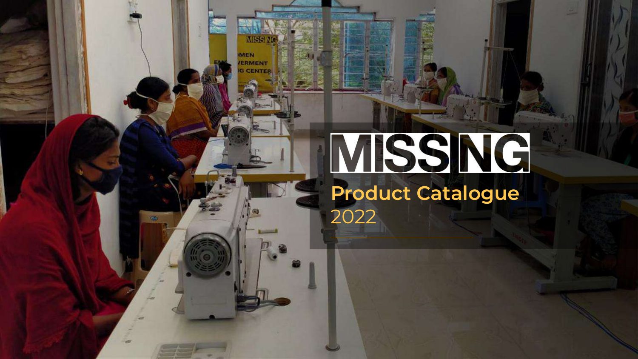

# MSSNG

**Product Catalogue** 2022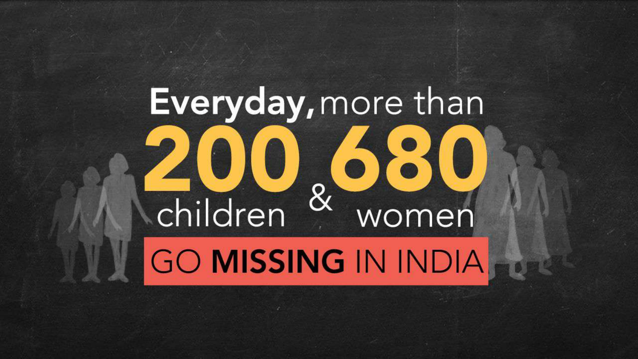# Everyday, more than **200.680**<br>children & women

# **GO MISSING IN INDIA**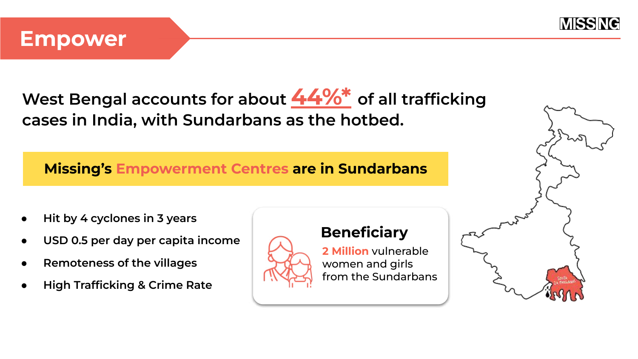

#### **Empower**

**West Bengal accounts for about [44%\\*](https://www.hindustantimes.com/india-news/how-bengal-india-s-human-trafficking-hub-is-weaving-a-turnaround-story/story-qrxuWT4lOkH84Q2IX8FC8J.html) of all trafficking cases in India, with Sundarbans as the hotbed.**

**Missing's Empowerment Centres are in Sundarbans**

- **Hit by 4 cyclones in 3 years**
- **USD 0.5 per day per capita income**
- **Remoteness of the villages**
- **High Trafficking & Crime Rate**



#### **Beneficiary**

**2 Million** vulnerable women and girls from the Sundarbans

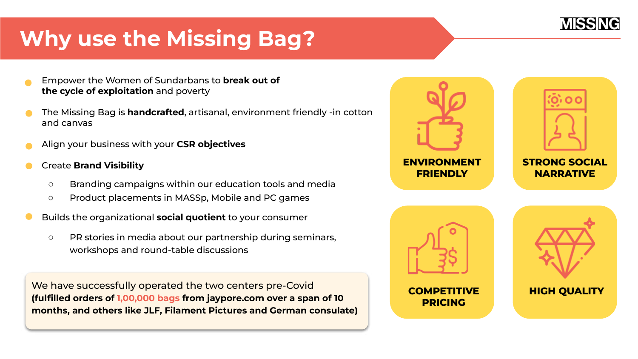## **Why use the Missing Bag?**

- Empower the Women of Sundarbans to **break out of the cycle of exploitation** and poverty
- The Missing Bag is **handcrafted**, artisanal, environment friendly -in cotton and canvas
- Align your business with your **CSR objectives**
- Create **Brand Visibility**
	- Branding campaigns within our education tools and media
	- Product placements in MASSp, Mobile and PC games
- Builds the organizational **social quotient** to your consumer
	- PR stories in media about our partnership during seminars, workshops and round-table discussions

We have successfully operated the two centers pre-Covid **(fulfilled orders of 1,00,000 bags from jaypore.com over a span of 10 months, and others like JLF, Filament Pictures and German consulate)**

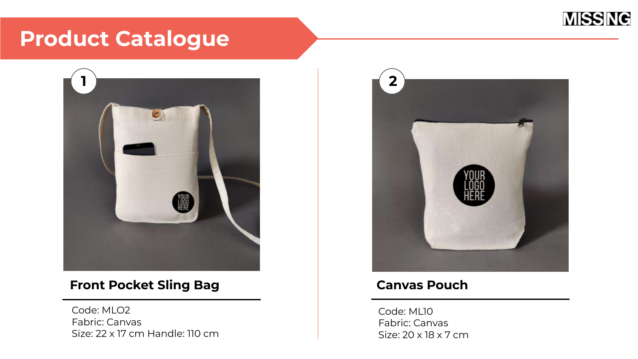

### **Product Catalogue**



#### **Front Pocket Sling Bag**

Code: MLO2 Fabric: Canvas Size: 22 x 17 cm Handle: 110 cm



#### **Canvas Pouch**

Code: ML10 Fabric: Canvas Size: 20 x 18 x 7 cm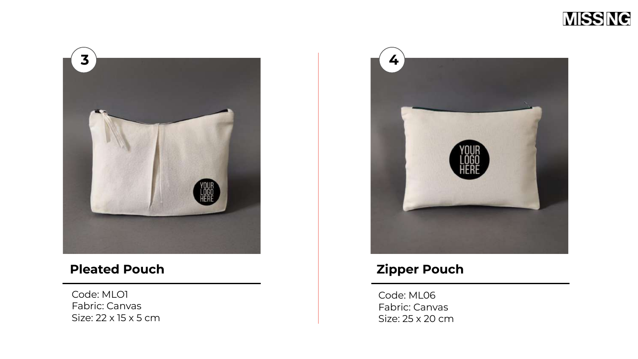



#### **Pleated Pouch**

Code: MLO1 Fabric: Canvas Size: 22 x 15 x 5 cm



#### **Zipper Pouch**

Code: ML06 Fabric: Canvas Size: 25 x 20 cm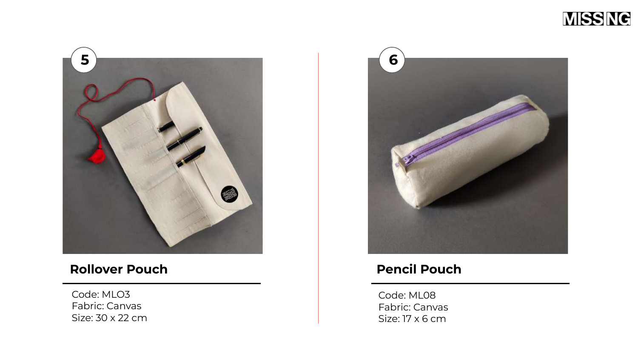



#### **Rollover Pouch**

Code: MLO3 Fabric: Canvas Size: 30 x 22 cm



#### **Pencil Pouch**

Code: ML08 Fabric: Canvas Size: 17 x 6 cm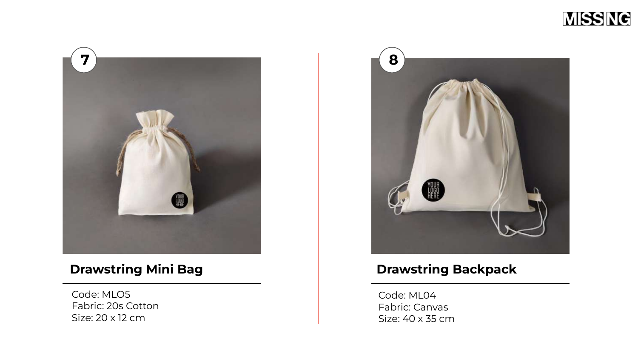



#### **Drawstring Mini Bag**

Code: MLO5 Fabric: 20s Cotton Size: 20 x 12 cm



#### **Drawstring Backpack**

Code: ML04 Fabric: Canvas Size: 40 x 35 cm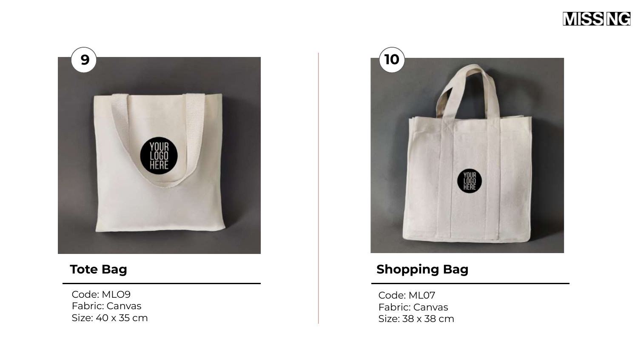



#### **Tote Bag**

Code: MLO9 Fabric: Canvas Size: 40 x 35 cm



#### **Shopping Bag**

Code: ML07 Fabric: Canvas Size: 38 x 38 cm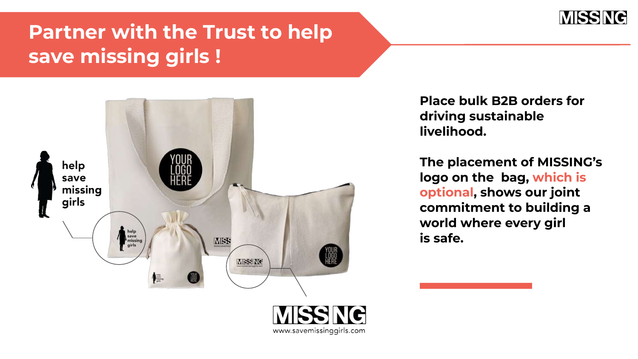

## **Partner with the Trust to help save missing girls !**



**Place bulk B2B orders for driving sustainable livelihood.** 

**The placement of MISSING's logo on the bag, which is optional, shows our joint commitment to building a world where every girl is safe.**

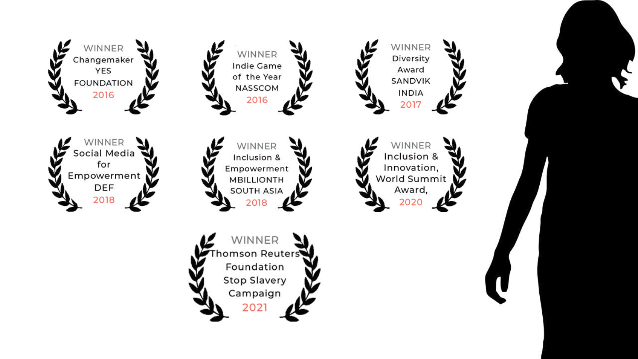